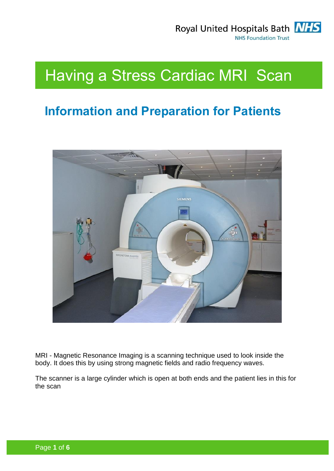

# Having a Stress Cardiac MRI Scan

# **Information and Preparation for Patients**



MRI - Magnetic Resonance Imaging is a scanning technique used to look inside the body. It does this by using strong magnetic fields and radio frequency waves.

The scanner is a large cylinder which is open at both ends and the patient lies in this for the scan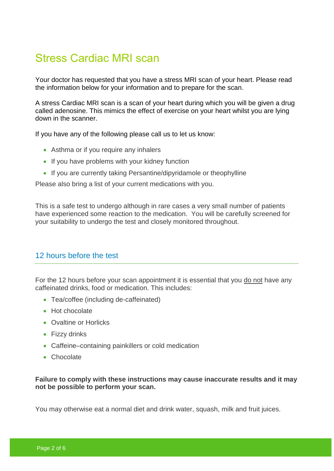# Stress Cardiac MRI scan

Your doctor has requested that you have a stress MRI scan of your heart. Please read the information below for your information and to prepare for the scan.

A stress Cardiac MRI scan is a scan of your heart during which you will be given a drug called adenosine. This mimics the effect of exercise on your heart whilst you are lying down in the scanner.

If you have any of the following please call us to let us know:

- Asthma or if you require any inhalers
- If you have problems with your kidney function
- If you are currently taking Persantine/dipyridamole or theophylline

Please also bring a list of your current medications with you.

This is a safe test to undergo although in rare cases a very small number of patients have experienced some reaction to the medication. You will be carefully screened for your suitability to undergo the test and closely monitored throughout.

### 12 hours before the test

For the 12 hours before your scan appointment it is essential that you do not have any caffeinated drinks, food or medication. This includes:

- Tea/coffee (including de-caffeinated)
- Hot chocolate
- Ovaltine or Horlicks
- Fizzy drinks
- Caffeine–containing painkillers or cold medication
- Chocolate

#### **Failure to comply with these instructions may cause inaccurate results and it may not be possible to perform your scan.**

You may otherwise eat a normal diet and drink water, squash, milk and fruit juices.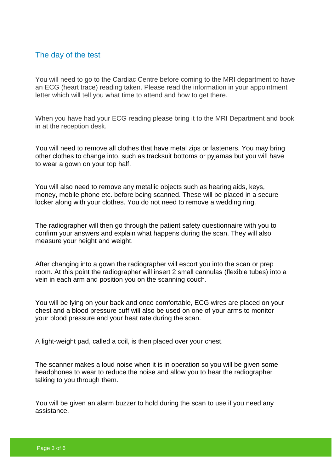#### The day of the test

You will need to go to the Cardiac Centre before coming to the MRI department to have an ECG (heart trace) reading taken. Please read the information in your appointment letter which will tell you what time to attend and how to get there.

When you have had your ECG reading please bring it to the MRI Department and book in at the reception desk.

You will need to remove all clothes that have metal zips or fasteners. You may bring other clothes to change into, such as tracksuit bottoms or pyjamas but you will have to wear a gown on your top half.

You will also need to remove any metallic objects such as hearing aids, keys, money, mobile phone etc. before being scanned. These will be placed in a secure locker along with your clothes. You do not need to remove a wedding ring.

The radiographer will then go through the patient safety questionnaire with you to confirm your answers and explain what happens during the scan. They will also measure your height and weight.

After changing into a gown the radiographer will escort you into the scan or prep room. At this point the radiographer will insert 2 small cannulas (flexible tubes) into a vein in each arm and position you on the scanning couch.

You will be lying on your back and once comfortable, ECG wires are placed on your chest and a blood pressure cuff will also be used on one of your arms to monitor your blood pressure and your heat rate during the scan.

A light-weight pad, called a coil, is then placed over your chest.

The scanner makes a loud noise when it is in operation so you will be given some headphones to wear to reduce the noise and allow you to hear the radiographer talking to you through them.

You will be given an alarm buzzer to hold during the scan to use if you need any assistance.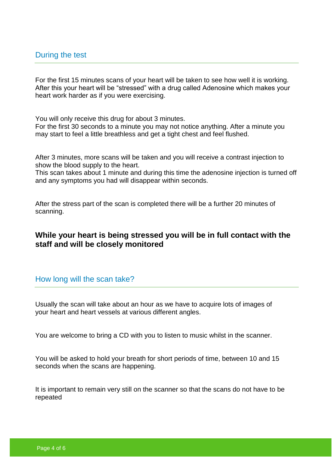For the first 15 minutes scans of your heart will be taken to see how well it is working. After this your heart will be "stressed" with a drug called Adenosine which makes your heart work harder as if you were exercising.

You will only receive this drug for about 3 minutes.

For the first 30 seconds to a minute you may not notice anything. After a minute you may start to feel a little breathless and get a tight chest and feel flushed.

After 3 minutes, more scans will be taken and you will receive a contrast injection to show the blood supply to the heart.

This scan takes about 1 minute and during this time the adenosine injection is turned off and any symptoms you had will disappear within seconds.

After the stress part of the scan is completed there will be a further 20 minutes of scanning.

### **While your heart is being stressed you will be in full contact with the staff and will be closely monitored**

#### How long will the scan take?

Usually the scan will take about an hour as we have to acquire lots of images of your heart and heart vessels at various different angles.

You are welcome to bring a CD with you to listen to music whilst in the scanner.

You will be asked to hold your breath for short periods of time, between 10 and 15 seconds when the scans are happening.

It is important to remain very still on the scanner so that the scans do not have to be repeated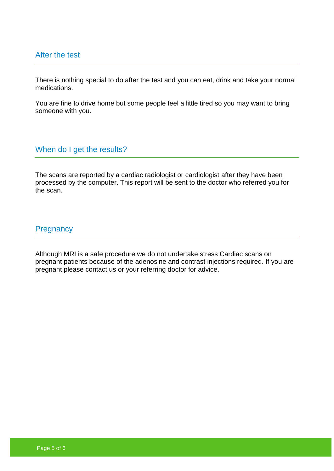#### After the test

There is nothing special to do after the test and you can eat, drink and take your normal medications.

You are fine to drive home but some people feel a little tired so you may want to bring someone with you.

When do I get the results?

The scans are reported by a cardiac radiologist or cardiologist after they have been processed by the computer. This report will be sent to the doctor who referred you for the scan.

#### **Pregnancy**

Although MRI is a safe procedure we do not undertake stress Cardiac scans on pregnant patients because of the adenosine and contrast injections required. If you are pregnant please contact us or your referring doctor for advice.